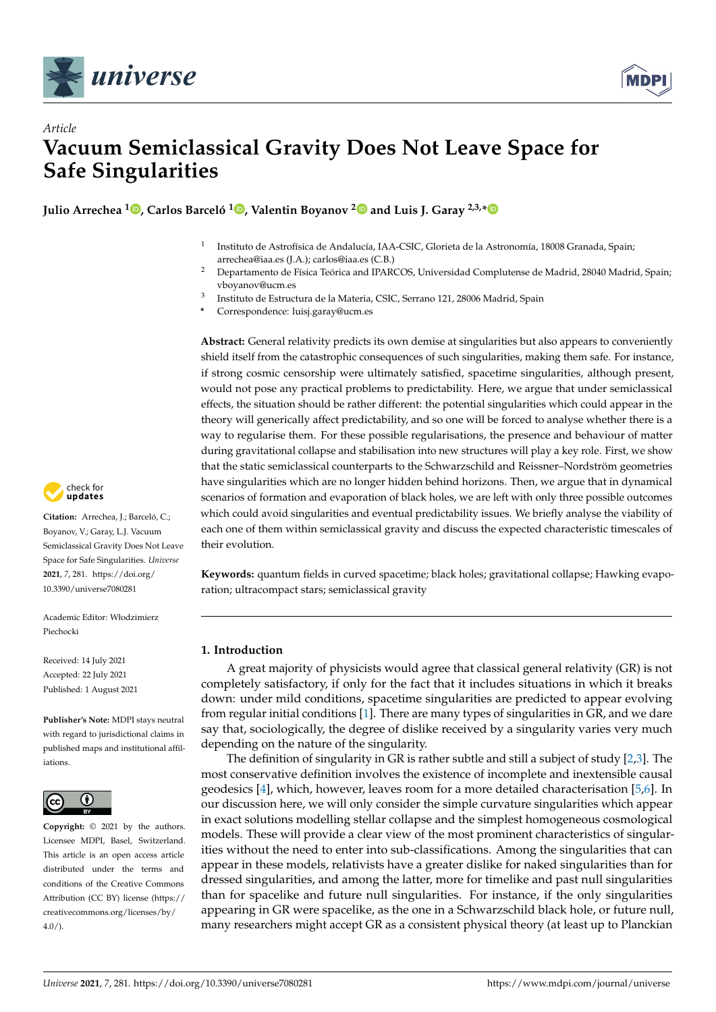



# *Article* **Vacuum Semiclassical Gravity Does Not Leave Space for Safe Singularities**

**Julio Arrechea <sup>1</sup> [,](https://orcid.org/0000-0001-6853-7742) Carlos Barceló <sup>1</sup> [,](https://orcid.org/0000-0002-2134-377X) Valentin Boyanov [2](https://orcid.org/0000-0002-2458-7200) and Luis J. Garay 2,3,[\\*](https://orcid.org/0000-0002-3943-7782)**

- 1 Instituto de Astrofísica de Andalucía, IAA-CSIC, Glorieta de la Astronomía, 18008 Granada, Spain; arrechea@iaa.es (J.A.); carlos@iaa.es (C.B.)
- <sup>2</sup> Departamento de Física Teórica and IPARCOS, Universidad Complutense de Madrid, 28040 Madrid, Spain; vboyanov@ucm.es
- 3 Instituto de Estructura de la Materia, CSIC, Serrano 121, 28006 Madrid, Spain
- **\*** Correspondence: luisj.garay@ucm.es

**Abstract:** General relativity predicts its own demise at singularities but also appears to conveniently shield itself from the catastrophic consequences of such singularities, making them safe. For instance, if strong cosmic censorship were ultimately satisfied, spacetime singularities, although present, would not pose any practical problems to predictability. Here, we argue that under semiclassical effects, the situation should be rather different: the potential singularities which could appear in the theory will generically affect predictability, and so one will be forced to analyse whether there is a way to regularise them. For these possible regularisations, the presence and behaviour of matter during gravitational collapse and stabilisation into new structures will play a key role. First, we show that the static semiclassical counterparts to the Schwarzschild and Reissner–Nordström geometries have singularities which are no longer hidden behind horizons. Then, we argue that in dynamical scenarios of formation and evaporation of black holes, we are left with only three possible outcomes which could avoid singularities and eventual predictability issues. We briefly analyse the viability of each one of them within semiclassical gravity and discuss the expected characteristic timescales of their evolution.

**Keywords:** quantum fields in curved spacetime; black holes; gravitational collapse; Hawking evaporation; ultracompact stars; semiclassical gravity

# **1. Introduction**

A great majority of physicists would agree that classical general relativity (GR) is not completely satisfactory, if only for the fact that it includes situations in which it breaks down: under mild conditions, spacetime singularities are predicted to appear evolving from regular initial conditions [\[1\]](#page-10-0). There are many types of singularities in GR, and we dare say that, sociologically, the degree of dislike received by a singularity varies very much depending on the nature of the singularity.

The definition of singularity in GR is rather subtle and still a subject of study [\[2](#page-10-1)[,3\]](#page-11-0). The most conservative definition involves the existence of incomplete and inextensible causal geodesics [\[4\]](#page-11-1), which, however, leaves room for a more detailed characterisation [\[5](#page-11-2)[,6\]](#page-11-3). In our discussion here, we will only consider the simple curvature singularities which appear in exact solutions modelling stellar collapse and the simplest homogeneous cosmological models. These will provide a clear view of the most prominent characteristics of singularities without the need to enter into sub-classifications. Among the singularities that can appear in these models, relativists have a greater dislike for naked singularities than for dressed singularities, and among the latter, more for timelike and past null singularities than for spacelike and future null singularities. For instance, if the only singularities appearing in GR were spacelike, as the one in a Schwarzschild black hole, or future null, many researchers might accept GR as a consistent physical theory (at least up to Planckian



**Citation:** Arrechea, J.; Barceló, C.; Boyanov, V.; Garay, L.J. Vacuum Semiclassical Gravity Does Not Leave Space for Safe Singularities. *Universe* **2021**, *7*, 281. [https://doi.org/](https://doi.org/10.3390/universe7080281) [10.3390/universe7080281](https://doi.org/10.3390/universe7080281)

Academic Editor: Włodzimierz Piechocki

Received: 14 July 2021 Accepted: 22 July 2021 Published: 1 August 2021

**Publisher's Note:** MDPI stays neutral with regard to jurisdictional claims in published maps and institutional affiliations.



**Copyright:** © 2021 by the authors. Licensee MDPI, Basel, Switzerland. This article is an open access article distributed under the terms and conditions of the Creative Commons Attribution (CC BY) license (https:/[/](https://creativecommons.org/licenses/by/4.0/) [creativecommons.org/licenses/by/](https://creativecommons.org/licenses/by/4.0/)  $4.0/$ ).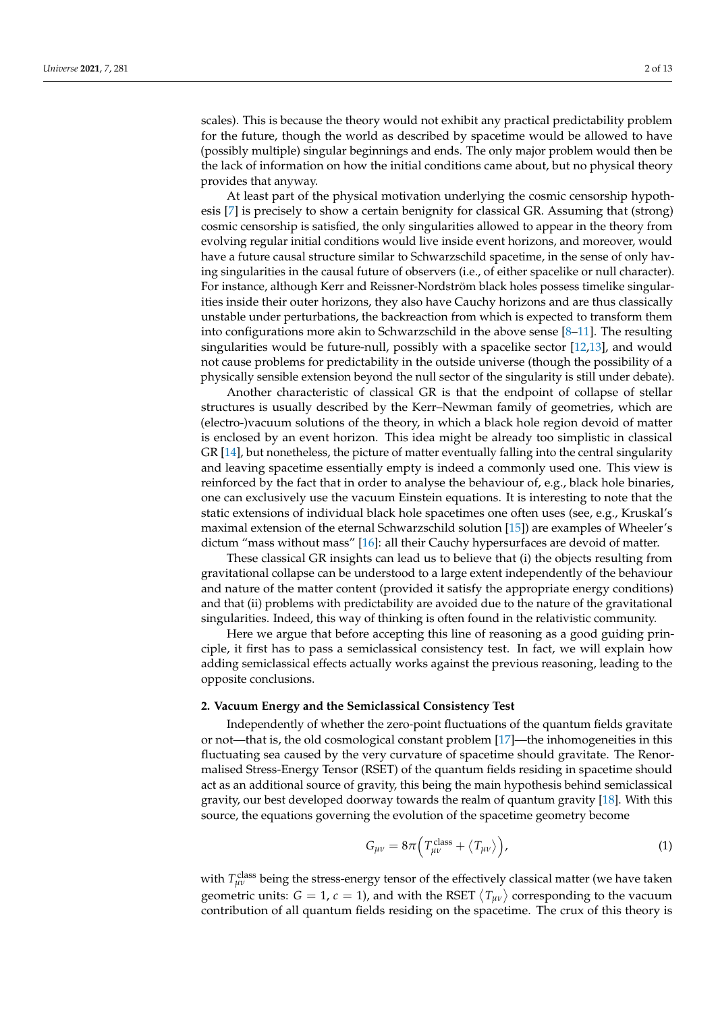scales). This is because the theory would not exhibit any practical predictability problem for the future, though the world as described by spacetime would be allowed to have (possibly multiple) singular beginnings and ends. The only major problem would then be the lack of information on how the initial conditions came about, but no physical theory provides that anyway.

At least part of the physical motivation underlying the cosmic censorship hypothesis [\[7\]](#page-11-4) is precisely to show a certain benignity for classical GR. Assuming that (strong) cosmic censorship is satisfied, the only singularities allowed to appear in the theory from evolving regular initial conditions would live inside event horizons, and moreover, would have a future causal structure similar to Schwarzschild spacetime, in the sense of only having singularities in the causal future of observers (i.e., of either spacelike or null character). For instance, although Kerr and Reissner-Nordström black holes possess timelike singularities inside their outer horizons, they also have Cauchy horizons and are thus classically unstable under perturbations, the backreaction from which is expected to transform them into configurations more akin to Schwarzschild in the above sense [\[8](#page-11-5)[–11\]](#page-11-6). The resulting singularities would be future-null, possibly with a spacelike sector [\[12,](#page-11-7)[13\]](#page-11-8), and would not cause problems for predictability in the outside universe (though the possibility of a physically sensible extension beyond the null sector of the singularity is still under debate).

Another characteristic of classical GR is that the endpoint of collapse of stellar structures is usually described by the Kerr–Newman family of geometries, which are (electro-)vacuum solutions of the theory, in which a black hole region devoid of matter is enclosed by an event horizon. This idea might be already too simplistic in classical GR [\[14\]](#page-11-9), but nonetheless, the picture of matter eventually falling into the central singularity and leaving spacetime essentially empty is indeed a commonly used one. This view is reinforced by the fact that in order to analyse the behaviour of, e.g., black hole binaries, one can exclusively use the vacuum Einstein equations. It is interesting to note that the static extensions of individual black hole spacetimes one often uses (see, e.g., Kruskal's maximal extension of the eternal Schwarzschild solution [\[15\]](#page-11-10)) are examples of Wheeler's dictum "mass without mass" [\[16\]](#page-11-11): all their Cauchy hypersurfaces are devoid of matter.

These classical GR insights can lead us to believe that (i) the objects resulting from gravitational collapse can be understood to a large extent independently of the behaviour and nature of the matter content (provided it satisfy the appropriate energy conditions) and that (ii) problems with predictability are avoided due to the nature of the gravitational singularities. Indeed, this way of thinking is often found in the relativistic community.

Here we argue that before accepting this line of reasoning as a good guiding principle, it first has to pass a semiclassical consistency test. In fact, we will explain how adding semiclassical effects actually works against the previous reasoning, leading to the opposite conclusions.

# **2. Vacuum Energy and the Semiclassical Consistency Test**

Independently of whether the zero-point fluctuations of the quantum fields gravitate or not—that is, the old cosmological constant problem [\[17\]](#page-11-12)—the inhomogeneities in this fluctuating sea caused by the very curvature of spacetime should gravitate. The Renormalised Stress-Energy Tensor (RSET) of the quantum fields residing in spacetime should act as an additional source of gravity, this being the main hypothesis behind semiclassical gravity, our best developed doorway towards the realm of quantum gravity [\[18\]](#page-11-13). With this source, the equations governing the evolution of the spacetime geometry become

<span id="page-1-0"></span>
$$
G_{\mu\nu} = 8\pi \Big( T_{\mu\nu}^{\text{class}} + \langle T_{\mu\nu} \rangle \Big), \tag{1}
$$

with  $T_{\mu\nu}^{\text{class}}$  being the stress-energy tensor of the effectively classical matter (we have taken geometric units:  $G = 1$ ,  $c = 1$ ), and with the RSET  $\langle T_{\mu\nu} \rangle$  corresponding to the vacuum contribution of all quantum fields residing on the spacetime. The crux of this theory is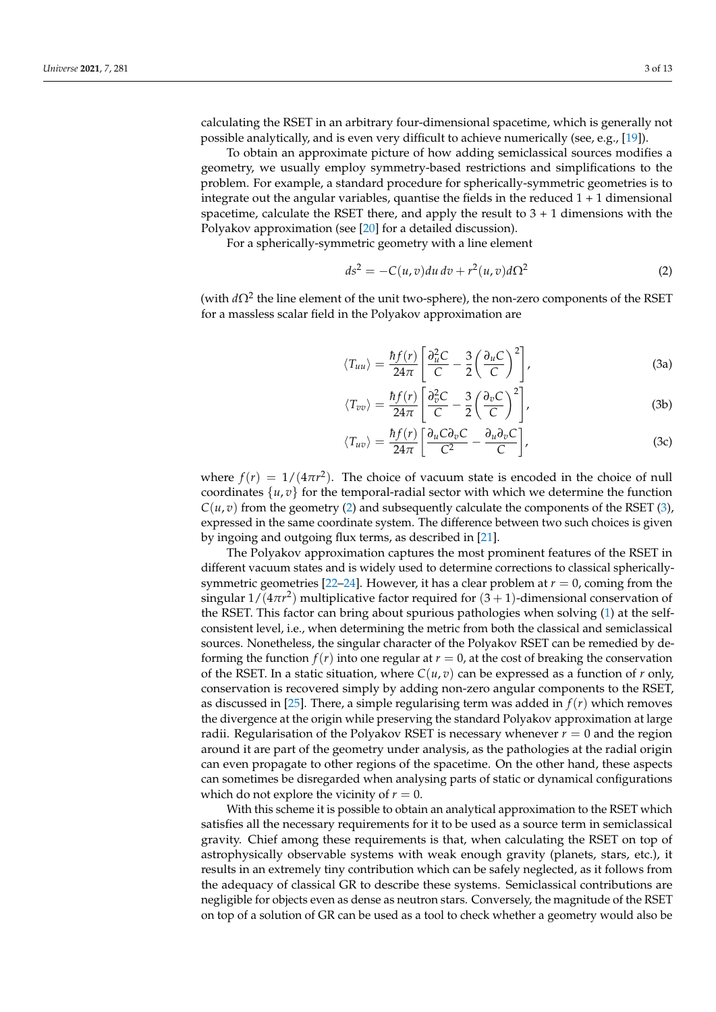calculating the RSET in an arbitrary four-dimensional spacetime, which is generally not possible analytically, and is even very difficult to achieve numerically (see, e.g., [\[19\]](#page-11-14)).

To obtain an approximate picture of how adding semiclassical sources modifies a geometry, we usually employ symmetry-based restrictions and simplifications to the problem. For example, a standard procedure for spherically-symmetric geometries is to integrate out the angular variables, quantise the fields in the reduced  $1 + 1$  dimensional spacetime, calculate the RSET there, and apply the result to  $3 + 1$  dimensions with the Polyakov approximation (see [\[20\]](#page-11-15) for a detailed discussion).

For a spherically-symmetric geometry with a line element

<span id="page-2-0"></span>
$$
ds^{2} = -C(u,v)du dv + r^{2}(u,v)d\Omega^{2}
$$
\n(2)

<span id="page-2-1"></span>(with *d*Ω<sup>2</sup> the line element of the unit two-sphere), the non-zero components of the RSET for a massless scalar field in the Polyakov approximation are

$$
\langle T_{uu} \rangle = \frac{\hbar f(r)}{24\pi} \left[ \frac{\partial_u^2 C}{C} - \frac{3}{2} \left( \frac{\partial_u C}{C} \right)^2 \right],
$$
 (3a)

$$
\langle T_{vv} \rangle = \frac{\hbar f(r)}{24\pi} \left[ \frac{\partial_v^2 C}{C} - \frac{3}{2} \left( \frac{\partial_v C}{C} \right)^2 \right],
$$
 (3b)

$$
\langle T_{uv} \rangle = \frac{\hbar f(r)}{24\pi} \left[ \frac{\partial_u C \partial_v C}{C^2} - \frac{\partial_u \partial_v C}{C} \right],
$$
 (3c)

where  $f(r) = 1/(4\pi r^2)$ . The choice of vacuum state is encoded in the choice of null coordinates  $\{u, v\}$  for the temporal-radial sector with which we determine the function  $C(u, v)$  from the geometry [\(2\)](#page-2-0) and subsequently calculate the components of the RSET [\(3\)](#page-2-1), expressed in the same coordinate system. The difference between two such choices is given by ingoing and outgoing flux terms, as described in [\[21\]](#page-11-16).

The Polyakov approximation captures the most prominent features of the RSET in different vacuum states and is widely used to determine corrections to classical sphericallysymmetric geometries  $[22-24]$  $[22-24]$ . However, it has a clear problem at  $r = 0$ , coming from the singular  $1/(4\pi r^2)$  multiplicative factor required for  $(3+1)$ -dimensional conservation of the RSET. This factor can bring about spurious pathologies when solving [\(1\)](#page-1-0) at the selfconsistent level, i.e., when determining the metric from both the classical and semiclassical sources. Nonetheless, the singular character of the Polyakov RSET can be remedied by deforming the function  $f(r)$  into one regular at  $r = 0$ , at the cost of breaking the conservation of the RSET. In a static situation, where  $C(u, v)$  can be expressed as a function of r only, conservation is recovered simply by adding non-zero angular components to the RSET, as discussed in [\[25\]](#page-11-19). There, a simple regularising term was added in *f*(*r*) which removes the divergence at the origin while preserving the standard Polyakov approximation at large radii. Regularisation of the Polyakov RSET is necessary whenever  $r = 0$  and the region around it are part of the geometry under analysis, as the pathologies at the radial origin can even propagate to other regions of the spacetime. On the other hand, these aspects can sometimes be disregarded when analysing parts of static or dynamical configurations which do not explore the vicinity of  $r = 0$ .

With this scheme it is possible to obtain an analytical approximation to the RSET which satisfies all the necessary requirements for it to be used as a source term in semiclassical gravity. Chief among these requirements is that, when calculating the RSET on top of astrophysically observable systems with weak enough gravity (planets, stars, etc.), it results in an extremely tiny contribution which can be safely neglected, as it follows from the adequacy of classical GR to describe these systems. Semiclassical contributions are negligible for objects even as dense as neutron stars. Conversely, the magnitude of the RSET on top of a solution of GR can be used as a tool to check whether a geometry would also be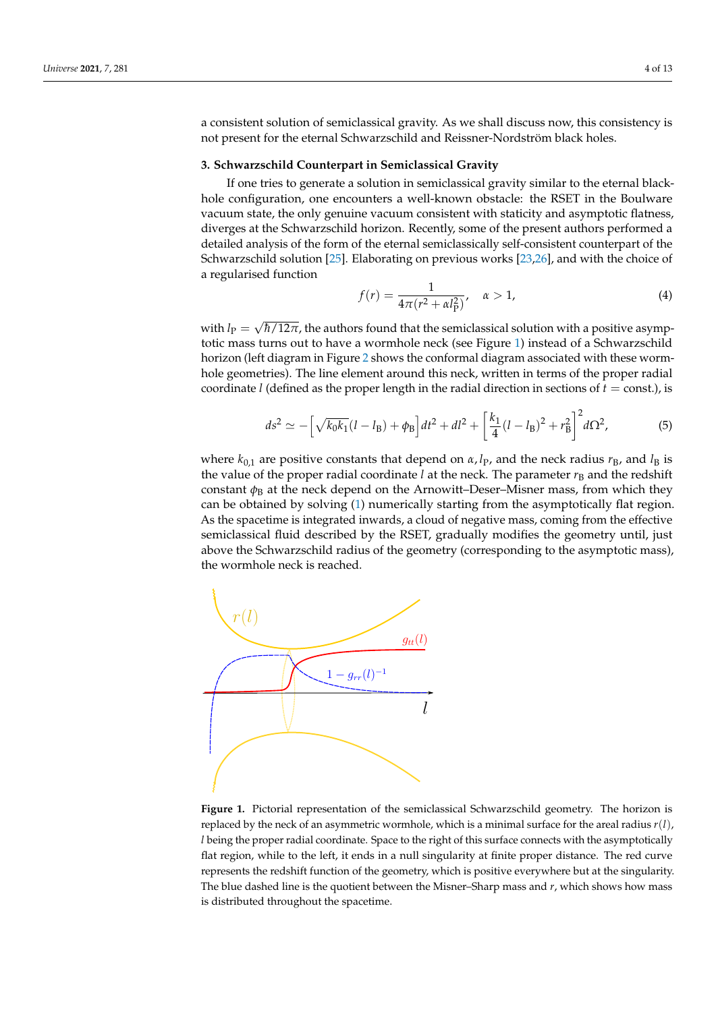a consistent solution of semiclassical gravity. As we shall discuss now, this consistency is not present for the eternal Schwarzschild and Reissner-Nordström black holes.

# **3. Schwarzschild Counterpart in Semiclassical Gravity**

If one tries to generate a solution in semiclassical gravity similar to the eternal blackhole configuration, one encounters a well-known obstacle: the RSET in the Boulware vacuum state, the only genuine vacuum consistent with staticity and asymptotic flatness, diverges at the Schwarzschild horizon. Recently, some of the present authors performed a detailed analysis of the form of the eternal semiclassically self-consistent counterpart of the Schwarzschild solution [\[25\]](#page-11-19). Elaborating on previous works [\[23,](#page-11-20)[26\]](#page-11-21), and with the choice of a regularised function

$$
f(r) = \frac{1}{4\pi (r^2 + \alpha l_{\rm p}^2)}, \quad \alpha > 1,
$$
 (4)

with  $l_P = \sqrt{\hbar/12\pi}$ , the authors found that the semiclassical solution with a positive asymptotic mass turns out to have a wormhole neck (see Figure [1\)](#page-3-0) instead of a Schwarzschild horizon (left diagram in Figure [2](#page-4-0) shows the conformal diagram associated with these wormhole geometries). The line element around this neck, written in terms of the proper radial coordinate *l* (defined as the proper length in the radial direction in sections of  $t =$  const.), is

$$
ds^{2} \simeq -\left[\sqrt{k_{0}k_{1}}(l-l_{B})+\phi_{B}\right]dt^{2}+dl^{2}+\left[\frac{k_{1}}{4}(l-l_{B})^{2}+r_{B}^{2}\right]^{2}d\Omega^{2},
$$
\n(5)

where  $k_{0,1}$  are positive constants that depend on  $\alpha$ ,  $l_P$ , and the neck radius  $r_B$ , and  $l_B$  is the value of the proper radial coordinate *l* at the neck. The parameter  $r_B$  and the redshift constant *φ*B at the neck depend on the Arnowitt–Deser–Misner mass, from which they can be obtained by solving [\(1\)](#page-1-0) numerically starting from the asymptotically flat region. As the spacetime is integrated inwards, a cloud of negative mass, coming from the effective semiclassical fluid described by the RSET, gradually modifies the geometry until, just above the Schwarzschild radius of the geometry (corresponding to the asymptotic mass), the wormhole neck is reached.

<span id="page-3-0"></span>

**Figure 1.** Pictorial representation of the semiclassical Schwarzschild geometry. The horizon is replaced by the neck of an asymmetric wormhole, which is a minimal surface for the areal radius *r*(*l*), *l* being the proper radial coordinate. Space to the right of this surface connects with the asymptotically flat region, while to the left, it ends in a null singularity at finite proper distance. The red curve represents the redshift function of the geometry, which is positive everywhere but at the singularity. The blue dashed line is the quotient between the Misner–Sharp mass and *r*, which shows how mass is distributed throughout the spacetime.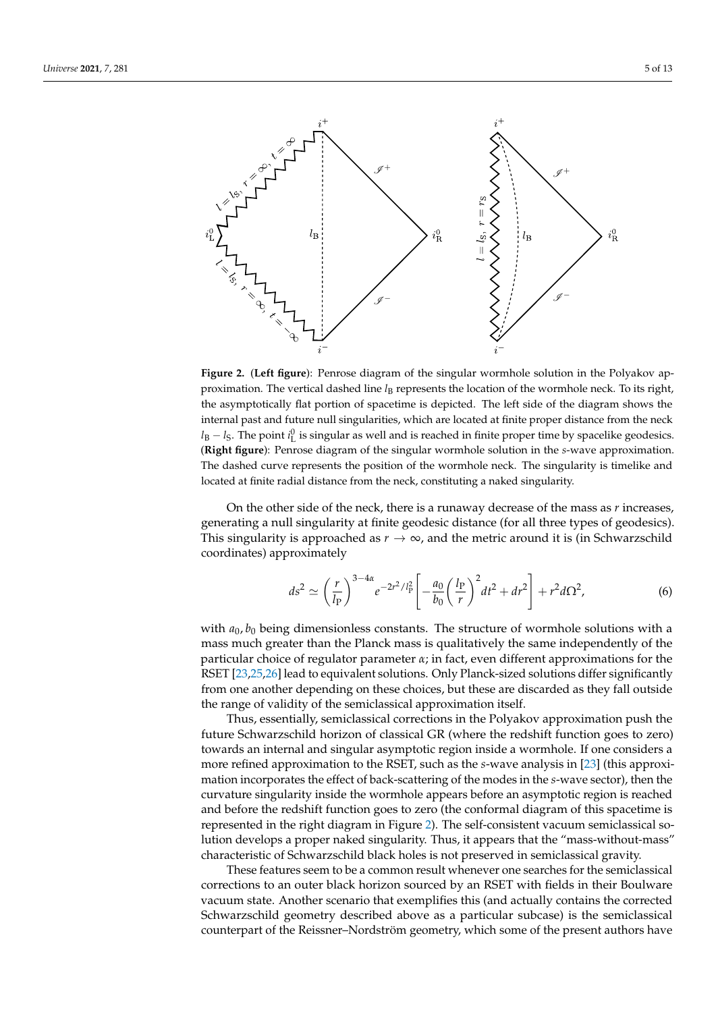<span id="page-4-0"></span>

**Figure 2.** (**Left figure**): Penrose diagram of the singular wormhole solution in the Polyakov approximation. The vertical dashed line *l*<sub>B</sub> represents the location of the wormhole neck. To its right, the asymptotically flat portion of spacetime is depicted. The left side of the diagram shows the internal past and future null singularities, which are located at finite proper distance from the neck  $l_B - l_S$ . The point  $i_L^0$  is singular as well and is reached in finite proper time by spacelike geodesics. (**Right figure**): Penrose diagram of the singular wormhole solution in the *s*-wave approximation. The dashed curve represents the position of the wormhole neck. The singularity is timelike and located at finite radial distance from the neck, constituting a naked singularity.

On the other side of the neck, there is a runaway decrease of the mass as *r* increases, generating a null singularity at finite geodesic distance (for all three types of geodesics). This singularity is approached as  $r \to \infty$ , and the metric around it is (in Schwarzschild coordinates) approximately

$$
ds^{2} \simeq \left(\frac{r}{l_{P}}\right)^{3-4\alpha} e^{-2r^{2}/l_{P}^{2}} \left[ -\frac{a_{0}}{b_{0}} \left(\frac{l_{P}}{r}\right)^{2} dt^{2} + dr^{2} \right] + r^{2} d\Omega^{2},
$$
\n(6)

with  $a_0$ ,  $b_0$  being dimensionless constants. The structure of wormhole solutions with a mass much greater than the Planck mass is qualitatively the same independently of the particular choice of regulator parameter *α*; in fact, even different approximations for the RSET [\[23](#page-11-20)[,25](#page-11-19)[,26\]](#page-11-21) lead to equivalent solutions. Only Planck-sized solutions differ significantly from one another depending on these choices, but these are discarded as they fall outside the range of validity of the semiclassical approximation itself.

Thus, essentially, semiclassical corrections in the Polyakov approximation push the future Schwarzschild horizon of classical GR (where the redshift function goes to zero) towards an internal and singular asymptotic region inside a wormhole. If one considers a more refined approximation to the RSET, such as the *s*-wave analysis in [\[23\]](#page-11-20) (this approximation incorporates the effect of back-scattering of the modes in the *s*-wave sector), then the curvature singularity inside the wormhole appears before an asymptotic region is reached and before the redshift function goes to zero (the conformal diagram of this spacetime is represented in the right diagram in Figure [2\)](#page-4-0). The self-consistent vacuum semiclassical solution develops a proper naked singularity. Thus, it appears that the "mass-without-mass" characteristic of Schwarzschild black holes is not preserved in semiclassical gravity.

These features seem to be a common result whenever one searches for the semiclassical corrections to an outer black horizon sourced by an RSET with fields in their Boulware vacuum state. Another scenario that exemplifies this (and actually contains the corrected Schwarzschild geometry described above as a particular subcase) is the semiclassical counterpart of the Reissner–Nordström geometry, which some of the present authors have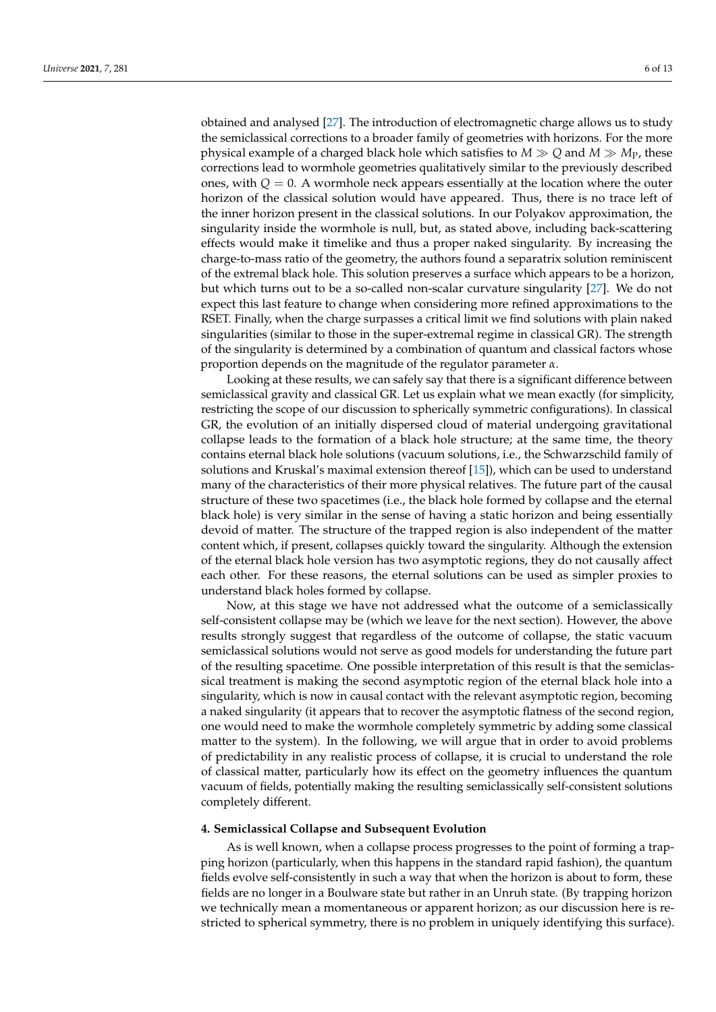the semiclassical corrections to a broader family of geometries with horizons. For the more physical example of a charged black hole which satisfies to  $M \gg Q$  and  $M \gg M_P$ , these corrections lead to wormhole geometries qualitatively similar to the previously described ones, with  $Q = 0$ . A wormhole neck appears essentially at the location where the outer horizon of the classical solution would have appeared. Thus, there is no trace left of the inner horizon present in the classical solutions. In our Polyakov approximation, the singularity inside the wormhole is null, but, as stated above, including back-scattering effects would make it timelike and thus a proper naked singularity. By increasing the charge-to-mass ratio of the geometry, the authors found a separatrix solution reminiscent of the extremal black hole. This solution preserves a surface which appears to be a horizon, but which turns out to be a so-called non-scalar curvature singularity [\[27\]](#page-11-22). We do not expect this last feature to change when considering more refined approximations to the RSET. Finally, when the charge surpasses a critical limit we find solutions with plain naked singularities (similar to those in the super-extremal regime in classical GR). The strength of the singularity is determined by a combination of quantum and classical factors whose proportion depends on the magnitude of the regulator parameter *α*.

Looking at these results, we can safely say that there is a significant difference between semiclassical gravity and classical GR. Let us explain what we mean exactly (for simplicity, restricting the scope of our discussion to spherically symmetric configurations). In classical GR, the evolution of an initially dispersed cloud of material undergoing gravitational collapse leads to the formation of a black hole structure; at the same time, the theory contains eternal black hole solutions (vacuum solutions, i.e., the Schwarzschild family of solutions and Kruskal's maximal extension thereof [\[15\]](#page-11-10)), which can be used to understand many of the characteristics of their more physical relatives. The future part of the causal structure of these two spacetimes (i.e., the black hole formed by collapse and the eternal black hole) is very similar in the sense of having a static horizon and being essentially devoid of matter. The structure of the trapped region is also independent of the matter content which, if present, collapses quickly toward the singularity. Although the extension of the eternal black hole version has two asymptotic regions, they do not causally affect each other. For these reasons, the eternal solutions can be used as simpler proxies to understand black holes formed by collapse.

Now, at this stage we have not addressed what the outcome of a semiclassically self-consistent collapse may be (which we leave for the next section). However, the above results strongly suggest that regardless of the outcome of collapse, the static vacuum semiclassical solutions would not serve as good models for understanding the future part of the resulting spacetime. One possible interpretation of this result is that the semiclassical treatment is making the second asymptotic region of the eternal black hole into a singularity, which is now in causal contact with the relevant asymptotic region, becoming a naked singularity (it appears that to recover the asymptotic flatness of the second region, one would need to make the wormhole completely symmetric by adding some classical matter to the system). In the following, we will argue that in order to avoid problems of predictability in any realistic process of collapse, it is crucial to understand the role of classical matter, particularly how its effect on the geometry influences the quantum vacuum of fields, potentially making the resulting semiclassically self-consistent solutions completely different.

## **4. Semiclassical Collapse and Subsequent Evolution**

As is well known, when a collapse process progresses to the point of forming a trapping horizon (particularly, when this happens in the standard rapid fashion), the quantum fields evolve self-consistently in such a way that when the horizon is about to form, these fields are no longer in a Boulware state but rather in an Unruh state. (By trapping horizon we technically mean a momentaneous or apparent horizon; as our discussion here is restricted to spherical symmetry, there is no problem in uniquely identifying this surface).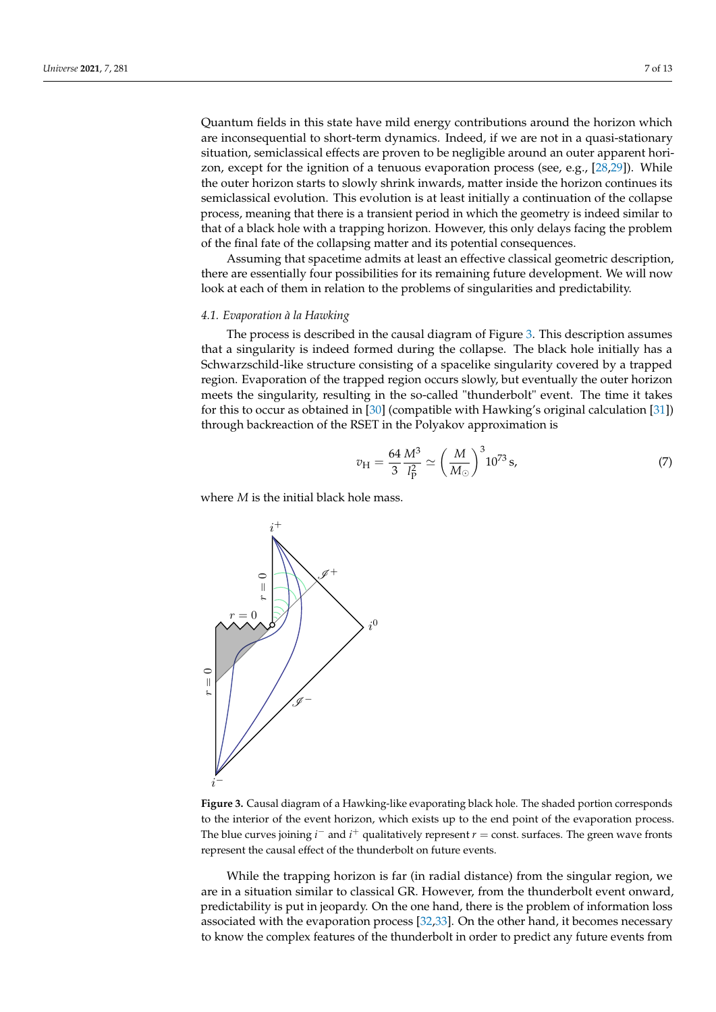Quantum fields in this state have mild energy contributions around the horizon which are inconsequential to short-term dynamics. Indeed, if we are not in a quasi-stationary situation, semiclassical effects are proven to be negligible around an outer apparent horizon, except for the ignition of a tenuous evaporation process (see, e.g.,  $[28,29]$  $[28,29]$ ). While the outer horizon starts to slowly shrink inwards, matter inside the horizon continues its semiclassical evolution. This evolution is at least initially a continuation of the collapse process, meaning that there is a transient period in which the geometry is indeed similar to that of a black hole with a trapping horizon. However, this only delays facing the problem of the final fate of the collapsing matter and its potential consequences.

Assuming that spacetime admits at least an effective classical geometric description, there are essentially four possibilities for its remaining future development. We will now look at each of them in relation to the problems of singularities and predictability.

## *4.1. Evaporation à la Hawking*

The process is described in the causal diagram of Figure [3.](#page-6-0) This description assumes that a singularity is indeed formed during the collapse. The black hole initially has a Schwarzschild-like structure consisting of a spacelike singularity covered by a trapped region. Evaporation of the trapped region occurs slowly, but eventually the outer horizon meets the singularity, resulting in the so-called "thunderbolt" event. The time it takes for this to occur as obtained in [\[30\]](#page-11-25) (compatible with Hawking's original calculation [\[31\]](#page-11-26)) through backreaction of the RSET in the Polyakov approximation is

$$
v_{\rm H} = \frac{64}{3} \frac{M^3}{l_{\rm P}^2} \simeq \left(\frac{M}{M_{\odot}}\right)^3 10^{73} \,\mathrm{s},\tag{7}
$$

where *M* is the initial black hole mass.

<span id="page-6-0"></span>

**Figure 3.** Causal diagram of a Hawking-like evaporating black hole. The shaded portion corresponds to the interior of the event horizon, which exists up to the end point of the evaporation process. The blue curves joining  $i^-$  and  $i^+$  qualitatively represent  $r =$  const. surfaces. The green wave fronts represent the causal effect of the thunderbolt on future events.

While the trapping horizon is far (in radial distance) from the singular region, we are in a situation similar to classical GR. However, from the thunderbolt event onward, predictability is put in jeopardy. On the one hand, there is the problem of information loss associated with the evaporation process [\[32,](#page-11-27)[33\]](#page-11-28). On the other hand, it becomes necessary to know the complex features of the thunderbolt in order to predict any future events from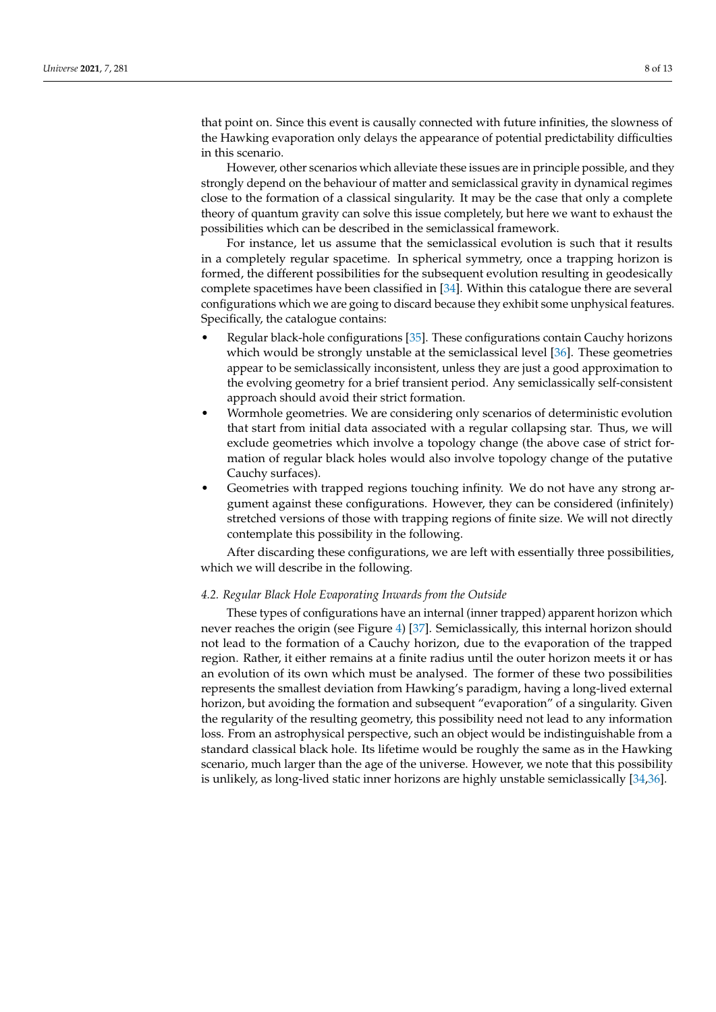that point on. Since this event is causally connected with future infinities, the slowness of the Hawking evaporation only delays the appearance of potential predictability difficulties in this scenario.

However, other scenarios which alleviate these issues are in principle possible, and they strongly depend on the behaviour of matter and semiclassical gravity in dynamical regimes close to the formation of a classical singularity. It may be the case that only a complete theory of quantum gravity can solve this issue completely, but here we want to exhaust the possibilities which can be described in the semiclassical framework.

For instance, let us assume that the semiclassical evolution is such that it results in a completely regular spacetime. In spherical symmetry, once a trapping horizon is formed, the different possibilities for the subsequent evolution resulting in geodesically complete spacetimes have been classified in [\[34\]](#page-11-29). Within this catalogue there are several configurations which we are going to discard because they exhibit some unphysical features. Specifically, the catalogue contains:

- Regular black-hole configurations [\[35\]](#page-11-30). These configurations contain Cauchy horizons which would be strongly unstable at the semiclassical level [\[36\]](#page-11-31). These geometries appear to be semiclassically inconsistent, unless they are just a good approximation to the evolving geometry for a brief transient period. Any semiclassically self-consistent approach should avoid their strict formation.
- Wormhole geometries. We are considering only scenarios of deterministic evolution that start from initial data associated with a regular collapsing star. Thus, we will exclude geometries which involve a topology change (the above case of strict formation of regular black holes would also involve topology change of the putative Cauchy surfaces).
- Geometries with trapped regions touching infinity. We do not have any strong argument against these configurations. However, they can be considered (infinitely) stretched versions of those with trapping regions of finite size. We will not directly contemplate this possibility in the following.

After discarding these configurations, we are left with essentially three possibilities, which we will describe in the following.

# *4.2. Regular Black Hole Evaporating Inwards from the Outside*

These types of configurations have an internal (inner trapped) apparent horizon which never reaches the origin (see Figure [4\)](#page-8-0) [\[37\]](#page-11-32). Semiclassically, this internal horizon should not lead to the formation of a Cauchy horizon, due to the evaporation of the trapped region. Rather, it either remains at a finite radius until the outer horizon meets it or has an evolution of its own which must be analysed. The former of these two possibilities represents the smallest deviation from Hawking's paradigm, having a long-lived external horizon, but avoiding the formation and subsequent "evaporation" of a singularity. Given the regularity of the resulting geometry, this possibility need not lead to any information loss. From an astrophysical perspective, such an object would be indistinguishable from a standard classical black hole. Its lifetime would be roughly the same as in the Hawking scenario, much larger than the age of the universe. However, we note that this possibility is unlikely, as long-lived static inner horizons are highly unstable semiclassically [\[34,](#page-11-29)[36\]](#page-11-31).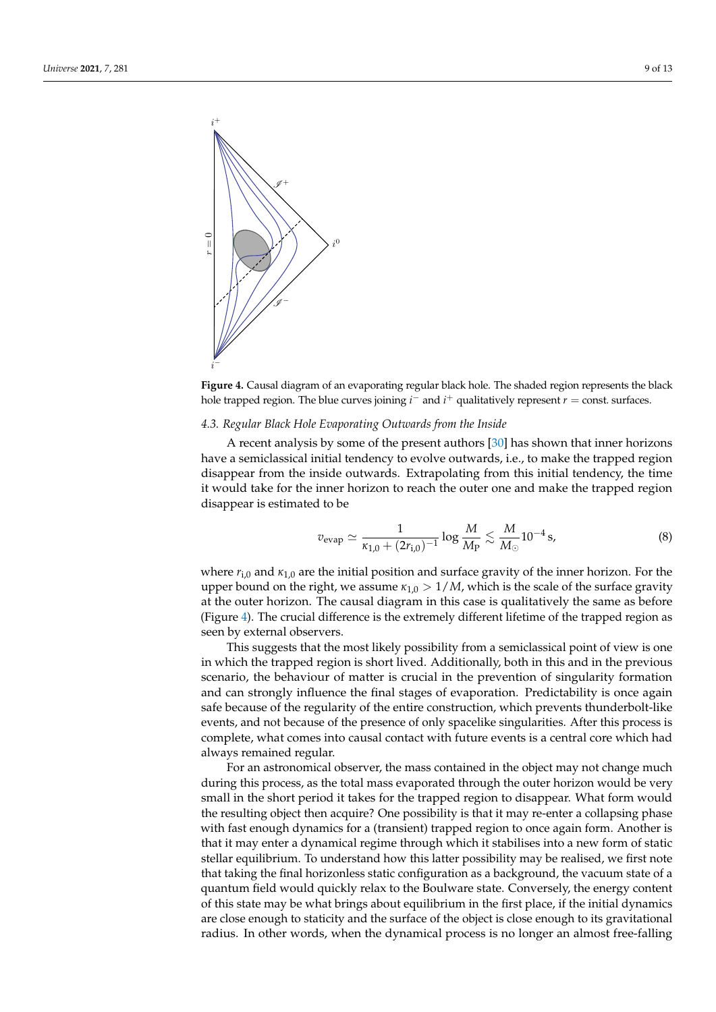<span id="page-8-0"></span>

**Figure 4.** Causal diagram of an evaporating regular black hole. The shaded region represents the black hole trapped region. The blue curves joining  $i^-$  and  $i^+$  qualitatively represent  $r =$  const. surfaces.

## *4.3. Regular Black Hole Evaporating Outwards from the Inside*

A recent analysis by some of the present authors [\[30\]](#page-11-25) has shown that inner horizons have a semiclassical initial tendency to evolve outwards, i.e., to make the trapped region disappear from the inside outwards. Extrapolating from this initial tendency, the time it would take for the inner horizon to reach the outer one and make the trapped region disappear is estimated to be

$$
v_{\text{evap}} \simeq \frac{1}{\kappa_{1,0} + (2r_{1,0})^{-1}} \log \frac{M}{M_{\text{P}}} \lesssim \frac{M}{M_{\odot}} 10^{-4} \,\text{s},\tag{8}
$$

where  $r_{1,0}$  and  $\kappa_{1,0}$  are the initial position and surface gravity of the inner horizon. For the upper bound on the right, we assume  $\kappa_{1,0} > 1/M$ , which is the scale of the surface gravity at the outer horizon. The causal diagram in this case is qualitatively the same as before (Figure [4\)](#page-8-0). The crucial difference is the extremely different lifetime of the trapped region as seen by external observers.

safe because of the regularity of the entire construction, which prevents thunderbolt-like This suggests that the most likely possibility from a semiclassical point of view is one in which the trapped region is short lived. Additionally, both in this and in the previous scenario, the behaviour of matter is crucial in the prevention of singularity formation and can strongly influence the final stages of evaporation. Predictability is once again events, and not because of the presence of only spacelike singularities. After this process is complete, what comes into causal contact with future events is a central core which had always remained regular.

For an astronomical observer, the mass contained in the object may not change much during this process, as the total mass evaporated through the outer horizon would be very small in the short period it takes for the trapped region to disappear. What form would the resulting object then acquire? One possibility is that it may re-enter a collapsing phase with fast enough dynamics for a (transient) trapped region to once again form. Another is that it may enter a dynamical regime through which it stabilises into a new form of static stellar equilibrium. To understand how this latter possibility may be realised, we first note that taking the final horizonless static configuration as a background, the vacuum state of a quantum field would quickly relax to the Boulware state. Conversely, the energy content of this state may be what brings about equilibrium in the first place, if the initial dynamics are close enough to staticity and the surface of the object is close enough to its gravitational radius. In other words, when the dynamical process is no longer an almost free-falling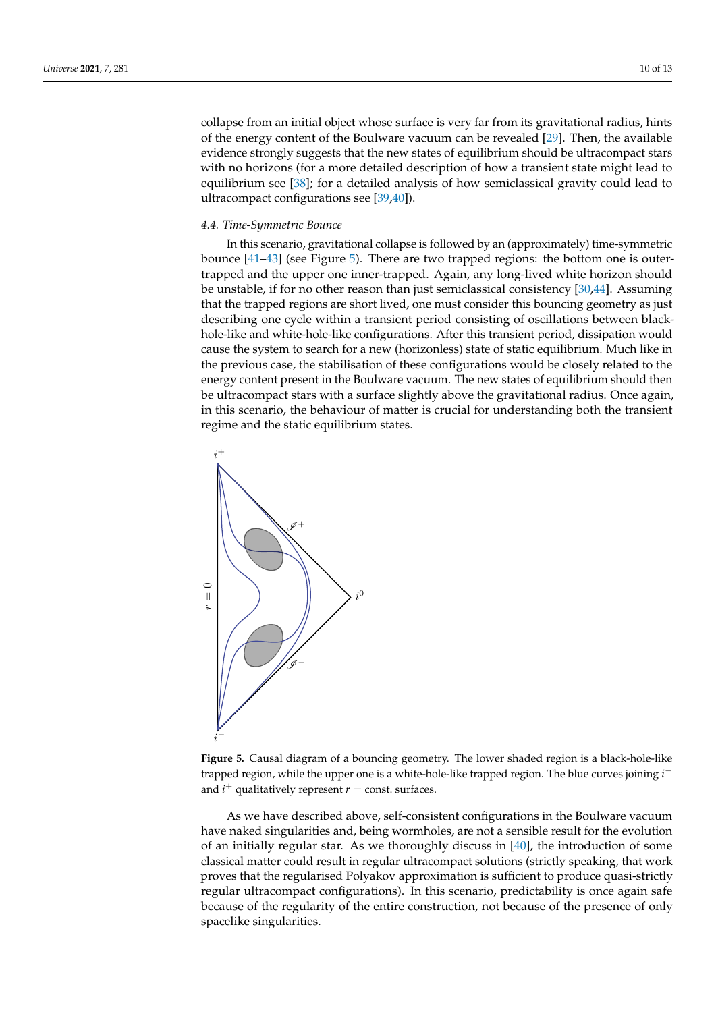collapse from an initial object whose surface is very far from its gravitational radius, hints of the energy content of the Boulware vacuum can be revealed [\[29\]](#page-11-24). Then, the available evidence strongly suggests that the new states of equilibrium should be ultracompact stars with no horizons (for a more detailed description of how a transient state might lead to equilibrium see [\[38\]](#page-11-33); for a detailed analysis of how semiclassical gravity could lead to ultracompact configurations see [\[39](#page-11-34)[,40\]](#page-11-35)).

# *4.4. Time-Symmetric Bounce*

In this scenario, gravitational collapse is followed by an (approximately) time-symmetric bounce [\[41](#page-11-36)[–43\]](#page-12-0) (see Figure [5\)](#page-9-0). There are two trapped regions: the bottom one is outertrapped and the upper one inner-trapped. Again, any long-lived white horizon should be unstable, if for no other reason than just semiclassical consistency [\[30,](#page-11-25)[44\]](#page-12-1). Assuming that the trapped regions are short lived, one must consider this bouncing geometry as just describing one cycle within a transient period consisting of oscillations between blackhole-like and white-hole-like configurations. After this transient period, dissipation would cause the system to search for a new (horizonless) state of static equilibrium. Much like in the previous case, the stabilisation of these configurations would be closely related to the energy content present in the Boulware vacuum. The new states of equilibrium should then be ultracompact stars with a surface slightly above the gravitational radius. Once again, in this scenario, the behaviour of matter is crucial for understanding both the transient regime and the static equilibrium states.

<span id="page-9-0"></span>

**Figure 5.** Causal diagram of a bouncing geometry. The lower shaded region is a black-hole-like trapped region, while the upper one is a white-hole-like trapped region. The blue curves joining *i* − and  $i^+$  qualitatively represent  $r =$  const. surfaces.

As we have described above, self-consistent configurations in the Boulware vacuum have naked singularities and, being wormholes, are not a sensible result for the evolution of an initially regular star. As we thoroughly discuss in [\[40\]](#page-11-35), the introduction of some classical matter could result in regular ultracompact solutions (strictly speaking, that work proves that the regularised Polyakov approximation is sufficient to produce quasi-strictly regular ultracompact configurations). In this scenario, predictability is once again safe because of the regularity of the entire construction, not because of the presence of only spacelike singularities.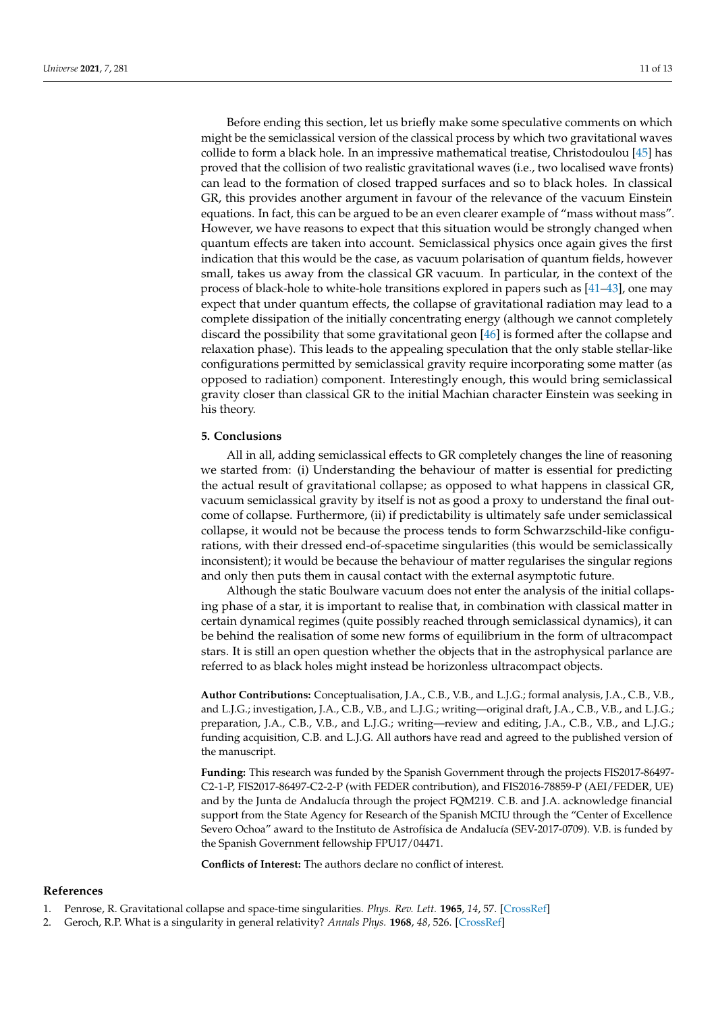Before ending this section, let us briefly make some speculative comments on which might be the semiclassical version of the classical process by which two gravitational waves collide to form a black hole. In an impressive mathematical treatise, Christodoulou [\[45\]](#page-12-2) has proved that the collision of two realistic gravitational waves (i.e., two localised wave fronts) can lead to the formation of closed trapped surfaces and so to black holes. In classical GR, this provides another argument in favour of the relevance of the vacuum Einstein equations. In fact, this can be argued to be an even clearer example of "mass without mass". However, we have reasons to expect that this situation would be strongly changed when quantum effects are taken into account. Semiclassical physics once again gives the first indication that this would be the case, as vacuum polarisation of quantum fields, however small, takes us away from the classical GR vacuum. In particular, in the context of the process of black-hole to white-hole transitions explored in papers such as [\[41](#page-11-36)[–43\]](#page-12-0), one may expect that under quantum effects, the collapse of gravitational radiation may lead to a complete dissipation of the initially concentrating energy (although we cannot completely discard the possibility that some gravitational geon [\[46\]](#page-12-3) is formed after the collapse and relaxation phase). This leads to the appealing speculation that the only stable stellar-like configurations permitted by semiclassical gravity require incorporating some matter (as opposed to radiation) component. Interestingly enough, this would bring semiclassical gravity closer than classical GR to the initial Machian character Einstein was seeking in his theory.

# **5. Conclusions**

All in all, adding semiclassical effects to GR completely changes the line of reasoning we started from: (i) Understanding the behaviour of matter is essential for predicting the actual result of gravitational collapse; as opposed to what happens in classical GR, vacuum semiclassical gravity by itself is not as good a proxy to understand the final outcome of collapse. Furthermore, (ii) if predictability is ultimately safe under semiclassical collapse, it would not be because the process tends to form Schwarzschild-like configurations, with their dressed end-of-spacetime singularities (this would be semiclassically inconsistent); it would be because the behaviour of matter regularises the singular regions and only then puts them in causal contact with the external asymptotic future.

Although the static Boulware vacuum does not enter the analysis of the initial collapsing phase of a star, it is important to realise that, in combination with classical matter in certain dynamical regimes (quite possibly reached through semiclassical dynamics), it can be behind the realisation of some new forms of equilibrium in the form of ultracompact stars. It is still an open question whether the objects that in the astrophysical parlance are referred to as black holes might instead be horizonless ultracompact objects.

**Author Contributions:** Conceptualisation, J.A., C.B., V.B., and L.J.G.; formal analysis, J.A., C.B., V.B., and L.J.G.; investigation, J.A., C.B., V.B., and L.J.G.; writing—original draft, J.A., C.B., V.B., and L.J.G.; preparation, J.A., C.B., V.B., and L.J.G.; writing—review and editing, J.A., C.B., V.B., and L.J.G.; funding acquisition, C.B. and L.J.G. All authors have read and agreed to the published version of the manuscript.

**Funding:** This research was funded by the Spanish Government through the projects FIS2017-86497- C2-1-P, FIS2017-86497-C2-2-P (with FEDER contribution), and FIS2016-78859-P (AEI/FEDER, UE) and by the Junta de Andalucía through the project FQM219. C.B. and J.A. acknowledge financial support from the State Agency for Research of the Spanish MCIU through the "Center of Excellence Severo Ochoa" award to the Instituto de Astrofísica de Andalucía (SEV-2017-0709). V.B. is funded by the Spanish Government fellowship FPU17/04471.

**Conflicts of Interest:** The authors declare no conflict of interest.

## **References**

- <span id="page-10-0"></span>1. Penrose, R. Gravitational collapse and space-time singularities. *Phys. Rev. Lett.* **1965**, *14*, 57. [\[CrossRef\]](http://doi.org/10.1103/PhysRevLett.14.57)
- <span id="page-10-1"></span>2. Geroch, R.P. What is a singularity in general relativity? *Annals Phys.* **1968**, *48*, 526. [\[CrossRef\]](http://dx.doi.org/10.1016/0003-4916(68)90144-9)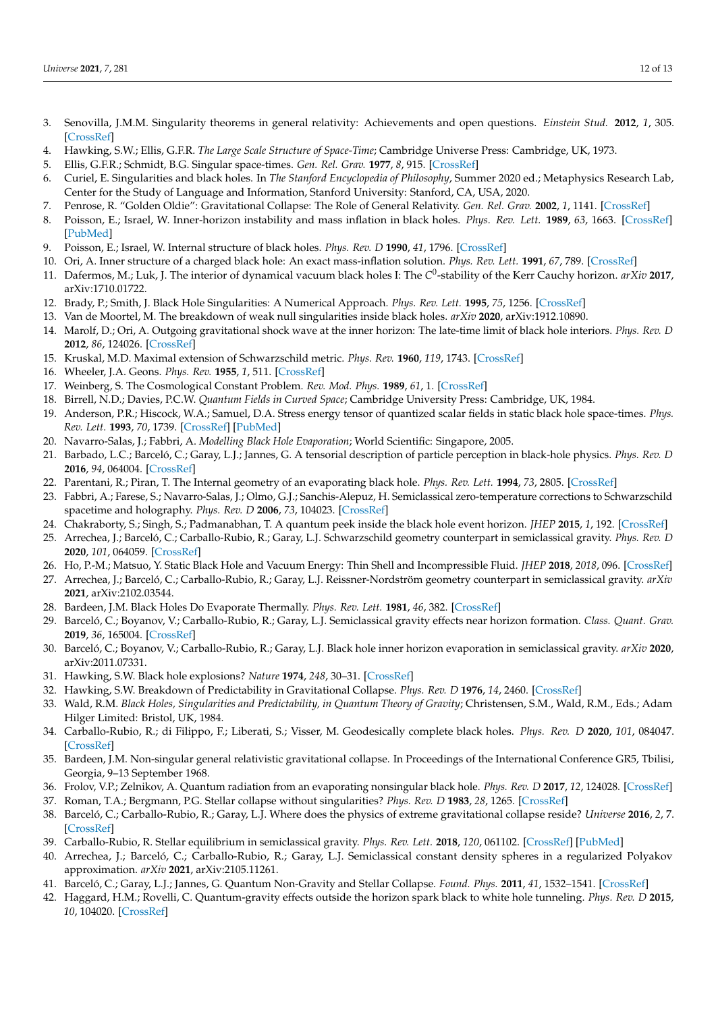- <span id="page-11-0"></span>3. Senovilla, J.M.M. Singularity theorems in general relativity: Achievements and open questions. *Einstein Stud.* **2012**, *1*, 305. [\[CrossRef\]](http://dx.doi.org/10.1007/978-0-8176-4940-1_15)
- <span id="page-11-1"></span>4. Hawking, S.W.; Ellis, G.F.R. *The Large Scale Structure of Space-Time*; Cambridge Universe Press: Cambridge, UK, 1973.
- <span id="page-11-2"></span>5. Ellis, G.F.R.; Schmidt, B.G. Singular space-times. *Gen. Rel. Grav.* **1977**, *8*, 915. [\[CrossRef\]](http://dx.doi.org/10.1007/BF00759240)
- <span id="page-11-3"></span>6. Curiel, E. Singularities and black holes. In *The Stanford Encyclopedia of Philosophy*, Summer 2020 ed.; Metaphysics Research Lab, Center for the Study of Language and Information, Stanford University: Stanford, CA, USA, 2020.
- <span id="page-11-4"></span>7. Penrose, R. "Golden Oldie": Gravitational Collapse: The Role of General Relativity. *Gen. Rel. Grav.* **2002**, *1*, 1141. [\[CrossRef\]](http://dx.doi.org/10.1023/A:1016578408204)
- <span id="page-11-5"></span>8. Poisson, E.; Israel, W. Inner-horizon instability and mass inflation in black holes. *Phys. Rev. Lett.* **1989**, *63*, 1663. [\[CrossRef\]](http://dx.doi.org/10.1103/PhysRevLett.63.1663) [\[PubMed\]](http://www.ncbi.nlm.nih.gov/pubmed/10040638)
- 9. Poisson, E.; Israel, W. Internal structure of black holes. *Phys. Rev. D* **1990**, *41*, 1796. [\[CrossRef\]](http://dx.doi.org/10.1103/PhysRevD.41.1796)
- 10. Ori, A. Inner structure of a charged black hole: An exact mass-inflation solution. *Phys. Rev. Lett.* **1991**, *67*, 789. [\[CrossRef\]](http://dx.doi.org/10.1103/PhysRevLett.67.789)
- <span id="page-11-6"></span>11. Dafermos, M.; Luk, J. The interior of dynamical vacuum black holes I: The *C* 0 -stability of the Kerr Cauchy horizon. *arXiv* **2017**, arXiv:1710.01722.
- <span id="page-11-7"></span>12. Brady, P.; Smith, J. Black Hole Singularities: A Numerical Approach. *Phys. Rev. Lett.* **1995**, *75*, 1256. [\[CrossRef\]](http://dx.doi.org/10.1103/PhysRevLett.75.1256)
- <span id="page-11-8"></span>13. Van de Moortel, M. The breakdown of weak null singularities inside black holes. *arXiv* **2020**, arXiv:1912.10890.
- <span id="page-11-9"></span>14. Marolf, D.; Ori, A. Outgoing gravitational shock wave at the inner horizon: The late-time limit of black hole interiors. *Phys. Rev. D* **2012**, *86*, 124026. [\[CrossRef\]](http://dx.doi.org/10.1103/PhysRevD.86.124026)
- <span id="page-11-10"></span>15. Kruskal, M.D. Maximal extension of Schwarzschild metric. *Phys. Rev.* **1960**, *119*, 1743. [\[CrossRef\]](http://dx.doi.org/10.1103/PhysRev.119.1743)
- <span id="page-11-11"></span>16. Wheeler, J.A. Geons. *Phys. Rev.* **1955**, *1*, 511. [\[CrossRef\]](http://dx.doi.org/10.1103/PhysRev.97.511)
- <span id="page-11-12"></span>17. Weinberg, S. The Cosmological Constant Problem. *Rev. Mod. Phys.* **1989**, *61*, 1. [\[CrossRef\]](http://dx.doi.org/10.1103/RevModPhys.61.1)
- <span id="page-11-13"></span>18. Birrell, N.D.; Davies, P.C.W. *Quantum Fields in Curved Space*; Cambridge University Press: Cambridge, UK, 1984.
- <span id="page-11-14"></span>19. Anderson, P.R.; Hiscock, W.A.; Samuel, D.A. Stress energy tensor of quantized scalar fields in static black hole space-times. *Phys. Rev. Lett.* **1993**, *70*, 1739. [\[CrossRef\]](http://dx.doi.org/10.1103/PhysRevLett.70.1739) [\[PubMed\]](http://www.ncbi.nlm.nih.gov/pubmed/10053374)
- <span id="page-11-15"></span>20. Navarro-Salas, J.; Fabbri, A. *Modelling Black Hole Evaporation*; World Scientific: Singapore, 2005.
- <span id="page-11-16"></span>21. Barbado, L.C.; Barceló, C.; Garay, L.J.; Jannes, G. A tensorial description of particle perception in black-hole physics. *Phys. Rev. D* **2016**, *94*, 064004. [\[CrossRef\]](http://dx.doi.org/10.1103/PhysRevD.94.064004)
- <span id="page-11-17"></span>22. Parentani, R.; Piran, T. The Internal geometry of an evaporating black hole. *Phys. Rev. Lett.* **1994**, *73*, 2805. [\[CrossRef\]](http://dx.doi.org/10.1103/PhysRevLett.73.2805)
- <span id="page-11-20"></span>23. Fabbri, A.; Farese, S.; Navarro-Salas, J.; Olmo, G.J.; Sanchis-Alepuz, H. Semiclassical zero-temperature corrections to Schwarzschild spacetime and holography. *Phys. Rev. D* **2006**, *73*, 104023. [\[CrossRef\]](http://dx.doi.org/10.1103/PhysRevD.73.104023)
- <span id="page-11-18"></span>24. Chakraborty, S.; Singh, S.; Padmanabhan, T. A quantum peek inside the black hole event horizon. *JHEP* **2015**, *1*, 192. [\[CrossRef\]](http://dx.doi.org/10.1007/JHEP06(2015)192)
- <span id="page-11-19"></span>25. Arrechea, J.; Barceló, C.; Carballo-Rubio, R.; Garay, L.J. Schwarzschild geometry counterpart in semiclassical gravity. *Phys. Rev. D* **2020**, *101*, 064059. [\[CrossRef\]](http://dx.doi.org/10.1103/PhysRevD.101.064059)
- <span id="page-11-21"></span>26. Ho, P.-M.; Matsuo, Y. Static Black Hole and Vacuum Energy: Thin Shell and Incompressible Fluid. *JHEP* **2018**, *2018*, 096. [\[CrossRef\]](http://dx.doi.org/10.1007/JHEP03(2018)096)
- <span id="page-11-22"></span>27. Arrechea, J.; Barceló, C.; Carballo-Rubio, R.; Garay, L.J. Reissner-Nordström geometry counterpart in semiclassical gravity. *arXiv* **2021**, arXiv:2102.03544.
- <span id="page-11-23"></span>28. Bardeen, J.M. Black Holes Do Evaporate Thermally. *Phys. Rev. Lett.* **1981**, *46*, 382. [\[CrossRef\]](http://dx.doi.org/10.1103/PhysRevLett.46.382)
- <span id="page-11-24"></span>29. Barceló, C.; Boyanov, V.; Carballo-Rubio, R.; Garay, L.J. Semiclassical gravity effects near horizon formation. *Class. Quant. Grav.* **2019**, *36*, 165004. [\[CrossRef\]](http://dx.doi.org/10.1088/1361-6382/ab2e43)
- <span id="page-11-25"></span>30. Barceló, C.; Boyanov, V.; Carballo-Rubio, R.; Garay, L.J. Black hole inner horizon evaporation in semiclassical gravity. *arXiv* **2020**, arXiv:2011.07331.
- <span id="page-11-26"></span>31. Hawking, S.W. Black hole explosions? *Nature* **1974**, *248*, 30–31. [\[CrossRef\]](http://dx.doi.org/10.1038/248030a0)
- <span id="page-11-27"></span>32. Hawking, S.W. Breakdown of Predictability in Gravitational Collapse. *Phys. Rev. D* **1976**, *14*, 2460. [\[CrossRef\]](http://dx.doi.org/10.1103/PhysRevD.14.2460)
- <span id="page-11-28"></span>33. Wald, R.M. *Black Holes, Singularities and Predictability, in Quantum Theory of Gravity*; Christensen, S.M., Wald, R.M., Eds.; Adam Hilger Limited: Bristol, UK, 1984.
- <span id="page-11-29"></span>34. Carballo-Rubio, R.; di Filippo, F.; Liberati, S.; Visser, M. Geodesically complete black holes. *Phys. Rev. D* **2020**, *101*, 084047. [\[CrossRef\]](http://dx.doi.org/10.1103/PhysRevD.101.084047)
- <span id="page-11-30"></span>35. Bardeen, J.M. Non-singular general relativistic gravitational collapse. In Proceedings of the International Conference GR5, Tbilisi, Georgia, 9–13 September 1968.
- <span id="page-11-31"></span>36. Frolov, V.P.; Zelnikov, A. Quantum radiation from an evaporating nonsingular black hole. *Phys. Rev. D* **2017**, *12*, 124028. [\[CrossRef\]](http://dx.doi.org/10.1103/PhysRevD.95.124028)
- <span id="page-11-32"></span>37. Roman, T.A.; Bergmann, P.G. Stellar collapse without singularities? *Phys. Rev. D* **1983**, *28*, 1265. [\[CrossRef\]](http://dx.doi.org/10.1103/PhysRevD.28.1265)
- <span id="page-11-33"></span>38. Barceló, C.; Carballo-Rubio, R.; Garay, L.J. Where does the physics of extreme gravitational collapse reside? *Universe* **2016**, *2*, 7. [\[CrossRef\]](http://dx.doi.org/10.3390/universe2020007)
- <span id="page-11-34"></span>39. Carballo-Rubio, R. Stellar equilibrium in semiclassical gravity. *Phys. Rev. Lett.* **2018**, *120*, 061102. [\[CrossRef\]](http://dx.doi.org/10.1103/PhysRevLett.120.061102) [\[PubMed\]](http://www.ncbi.nlm.nih.gov/pubmed/29481267)
- <span id="page-11-35"></span>40. Arrechea, J.; Barceló, C.; Carballo-Rubio, R.; Garay, L.J. Semiclassical constant density spheres in a regularized Polyakov approximation. *arXiv* **2021**, arXiv:2105.11261.
- <span id="page-11-36"></span>41. Barceló, C.; Garay, L.J.; Jannes, G. Quantum Non-Gravity and Stellar Collapse. *Found. Phys.* **2011**, *41*, 1532–1541. [\[CrossRef\]](http://dx.doi.org/10.1007/s10701-011-9577-9)
- 42. Haggard, H.M.; Rovelli, C. Quantum-gravity effects outside the horizon spark black to white hole tunneling. *Phys. Rev. D* **2015**, *10*, 104020. [\[CrossRef\]](http://dx.doi.org/10.1103/PhysRevD.92.104020)